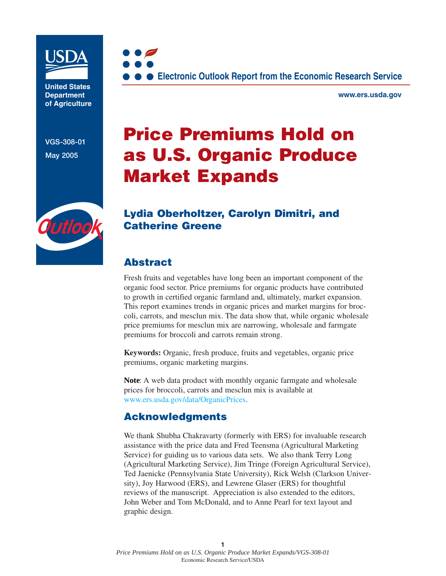

**United States Department of Agriculture**

**VGS-308-01 May 2005**



**www.ers.usda.gov**

# **Price Premiums Hold on as U.S. Organic Produce Market Expands**



# **Lydia Oberholtzer, Carolyn Dimitri, and Catherine Greene**

# **Abstract**

Fresh fruits and vegetables have long been an important component of the organic food sector. Price premiums for organic products have contributed to growth in certified organic farmland and, ultimately, market expansion. This report examines trends in organic prices and market margins for broccoli, carrots, and mesclun mix. The data show that, while organic wholesale price premiums for mesclun mix are narrowing, wholesale and farmgate premiums for broccoli and carrots remain strong.

**Keywords:** Organic, fresh produce, fruits and vegetables, organic price premiums, organic marketing margins.

**Note**: A web data product with monthly organic farmgate and wholesale prices for broccoli, carrots and mesclun mix is available at [www.ers.usda.gov/data/OrganicPrices.](http://www.ers.usda.gov/data/OrganicPrices/)

### **Acknowledgments**

We thank Shubha Chakravarty (formerly with ERS) for invaluable research assistance with the price data and Fred Teensma (Agricultural Marketing Service) for guiding us to various data sets. We also thank Terry Long (Agricultural Marketing Service), Jim Tringe (Foreign Agricultural Service), Ted Jaenicke (Pennsylvania State University), Rick Welsh (Clarkson University), Joy Harwood (ERS), and Lewrene Glaser (ERS) for thoughtful reviews of the manuscript. Appreciation is also extended to the editors, John Weber and Tom McDonald, and to Anne Pearl for text layout and graphic design.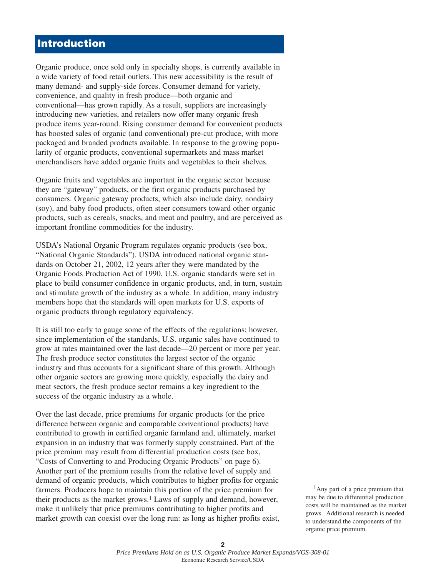# **Introduction**

Organic produce, once sold only in specialty shops, is currently available in a wide variety of food retail outlets. This new accessibility is the result of many demand- and supply-side forces. Consumer demand for variety, convenience, and quality in fresh produce—both organic and conventional—has grown rapidly. As a result, suppliers are increasingly introducing new varieties, and retailers now offer many organic fresh produce items year-round. Rising consumer demand for convenient products has boosted sales of organic (and conventional) pre-cut produce, with more packaged and branded products available. In response to the growing popularity of organic products, conventional supermarkets and mass market merchandisers have added organic fruits and vegetables to their shelves.

Organic fruits and vegetables are important in the organic sector because they are "gateway" products, or the first organic products purchased by consumers. Organic gateway products, which also include dairy, nondairy (soy), and baby food products, often steer consumers toward other organic products, such as cereals, snacks, and meat and poultry, and are perceived as important frontline commodities for the industry.

USDA's National Organic Program regulates organic products (see box, "National Organic Standards"). USDA introduced national organic standards on October 21, 2002, 12 years after they were mandated by the Organic Foods Production Act of 1990. U.S. organic standards were set in place to build consumer confidence in organic products, and, in turn, sustain and stimulate growth of the industry as a whole. In addition, many industry members hope that the standards will open markets for U.S. exports of organic products through regulatory equivalency.

It is still too early to gauge some of the effects of the regulations; however, since implementation of the standards, U.S. organic sales have continued to grow at rates maintained over the last decade—20 percent or more per year. The fresh produce sector constitutes the largest sector of the organic industry and thus accounts for a significant share of this growth. Although other organic sectors are growing more quickly, especially the dairy and meat sectors, the fresh produce sector remains a key ingredient to the success of the organic industry as a whole.

Over the last decade, price premiums for organic products (or the price difference between organic and comparable conventional products) have contributed to growth in certified organic farmland and, ultimately, market expansion in an industry that was formerly supply constrained. Part of the price premium may result from differential production costs (see box, "Costs of Converting to and Producing Organic Products" on page 6). Another part of the premium results from the relative level of supply and demand of organic products, which contributes to higher profits for organic farmers. Producers hope to maintain this portion of the price premium for their products as the market grows.<sup>1</sup> Laws of supply and demand, however, make it unlikely that price premiums contributing to higher profits and market growth can coexist over the long run: as long as higher profits exist,

1Any part of a price premium that may be due to differential production costs will be maintained as the market grows. Additional research is needed to understand the components of the organic price premium.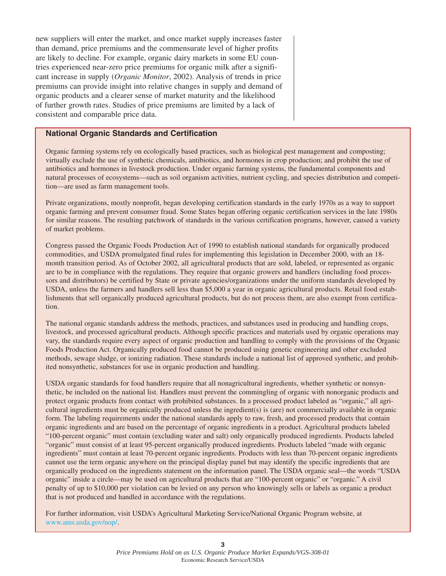new suppliers will enter the market, and once market supply increases faster than demand, price premiums and the commensurate level of higher profits are likely to decline. For example, organic dairy markets in some EU countries experienced near-zero price premiums for organic milk after a significant increase in supply (*Organic Monitor*, 2002). Analysis of trends in price premiums can provide insight into relative changes in supply and demand of organic products and a clearer sense of market maturity and the likelihood of further growth rates. Studies of price premiums are limited by a lack of consistent and comparable price data.

#### **National Organic Standards and Certification**

Organic farming systems rely on ecologically based practices, such as biological pest management and composting; virtually exclude the use of synthetic chemicals, antibiotics, and hormones in crop production; and prohibit the use of antibiotics and hormones in livestock production. Under organic farming systems, the fundamental components and natural processes of ecosystems—such as soil organism activities, nutrient cycling, and species distribution and competition—are used as farm management tools.

Private organizations, mostly nonprofit, began developing certification standards in the early 1970s as a way to support organic farming and prevent consumer fraud. Some States began offering organic certification services in the late 1980s for similar reasons. The resulting patchwork of standards in the various certification programs, however, caused a variety of market problems.

Congress passed the Organic Foods Production Act of 1990 to establish national standards for organically produced commodities, and USDA promulgated final rules for implementing this legislation in December 2000, with an 18 month transition period. As of October 2002, all agricultural products that are sold, labeled, or represented as organic are to be in compliance with the regulations. They require that organic growers and handlers (including food processors and distributors) be certified by State or private agencies/organizations under the uniform standards developed by USDA, unless the farmers and handlers sell less than \$5,000 a year in organic agricultural products. Retail food establishments that sell organically produced agricultural products, but do not process them, are also exempt from certification.

The national organic standards address the methods, practices, and substances used in producing and handling crops, livestock, and processed agricultural products. Although specific practices and materials used by organic operations may vary, the standards require every aspect of organic production and handling to comply with the provisions of the Organic Foods Production Act. Organically produced food cannot be produced using genetic engineering and other excluded methods, sewage sludge, or ionizing radiation. These standards include a national list of approved synthetic, and prohibited nonsynthetic, substances for use in organic production and handling.

USDA organic standards for food handlers require that all nonagricultural ingredients, whether synthetic or nonsynthetic, be included on the national list. Handlers must prevent the commingling of organic with nonorganic products and protect organic products from contact with prohibited substances. In a processed product labeled as "organic," all agricultural ingredients must be organically produced unless the ingredient(s) is (are) not commercially available in organic form. The labeling requirements under the national standards apply to raw, fresh, and processed products that contain organic ingredients and are based on the percentage of organic ingredients in a product. Agricultural products labeled "100-percent organic" must contain (excluding water and salt) only organically produced ingredients. Products labeled "organic" must consist of at least 95-percent organically produced ingredients. Products labeled "made with organic ingredients" must contain at least 70-percent organic ingredients. Products with less than 70-percent organic ingredients cannot use the term organic anywhere on the principal display panel but may identify the specific ingredients that are organically produced on the ingredients statement on the information panel. The USDA organic seal—the words "USDA organic" inside a circle—may be used on agricultural products that are "100-percent organic" or "organic." A civil penalty of up to \$10,000 per violation can be levied on any person who knowingly sells or labels as organic a product that is not produced and handled in accordance with the regulations.

For further information, visit USDA's Agricultural Marketing Service/National Organic Program website, at [www.ams.usda.gov/nop/](http://www.ams.usda.gov/nop/).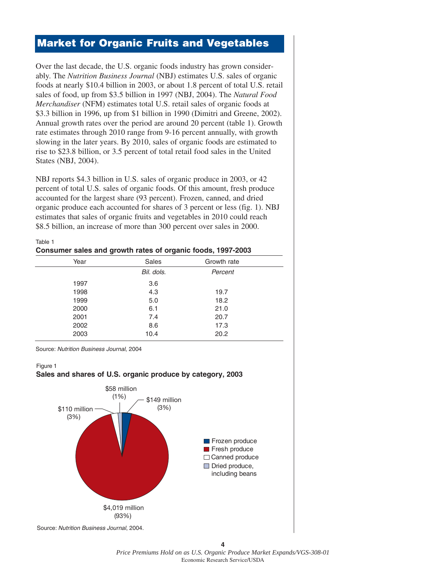### **Market for Organic Fruits and Vegetables**

Over the last decade, the U.S. organic foods industry has grown considerably. The *Nutrition Business Journal* (NBJ) estimates U.S. sales of organic foods at nearly \$10.4 billion in 2003, or about 1.8 percent of total U.S. retail sales of food, up from \$3.5 billion in 1997 (NBJ, 2004). The *Natural Food Merchandiser* (NFM) estimates total U.S. retail sales of organic foods at \$3.3 billion in 1996, up from \$1 billion in 1990 (Dimitri and Greene, 2002). Annual growth rates over the period are around 20 percent (table 1). Growth rate estimates through 2010 range from 9-16 percent annually, with growth slowing in the later years. By 2010, sales of organic foods are estimated to rise to \$23.8 billion, or 3.5 percent of total retail food sales in the United States (NBJ, 2004).

NBJ reports \$4.3 billion in U.S. sales of organic produce in 2003, or 42 percent of total U.S. sales of organic foods. Of this amount, fresh produce accounted for the largest share (93 percent). Frozen, canned, and dried organic produce each accounted for shares of 3 percent or less (fig. 1). NBJ estimates that sales of organic fruits and vegetables in 2010 could reach \$8.5 billion, an increase of more than 300 percent over sales in 2000.

| Table 1<br>Consumer sales and growth rates of organic foods, 1997-2003 |            |             |  |  |  |  |  |
|------------------------------------------------------------------------|------------|-------------|--|--|--|--|--|
| Year                                                                   | Sales      | Growth rate |  |  |  |  |  |
|                                                                        | Bil. dols. | Percent     |  |  |  |  |  |
| 1997                                                                   | 3.6        |             |  |  |  |  |  |
| 1998                                                                   | 4.3        | 19.7        |  |  |  |  |  |
| 1999                                                                   | 5.0        | 18.2        |  |  |  |  |  |
| 2000                                                                   | 6.1        | 21.0        |  |  |  |  |  |
| 2001                                                                   | 7.4        | 20.7        |  |  |  |  |  |
| 2002                                                                   | 8.6        | 17.3        |  |  |  |  |  |
| 2003                                                                   | 10.4       | 20.2        |  |  |  |  |  |

Source: Nutrition Business Journal, 2004

#### Figure 1



Source: *Nutrition Business Journal*, 2004.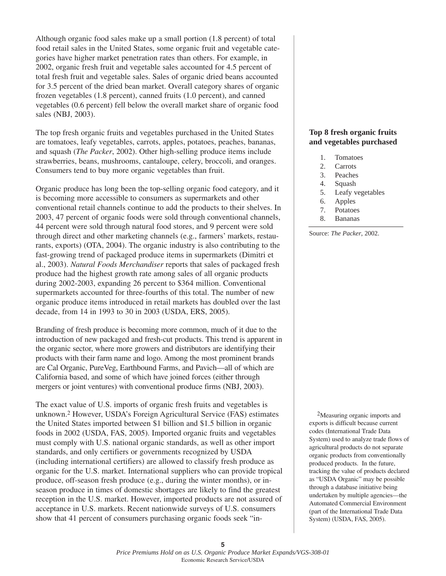Although organic food sales make up a small portion (1.8 percent) of total food retail sales in the United States, some organic fruit and vegetable categories have higher market penetration rates than others. For example, in 2002, organic fresh fruit and vegetable sales accounted for 4.5 percent of total fresh fruit and vegetable sales. Sales of organic dried beans accounted for 3.5 percent of the dried bean market. Overall category shares of organic frozen vegetables (1.8 percent), canned fruits (1.0 percent), and canned vegetables (0.6 percent) fell below the overall market share of organic food sales (NBJ, 2003).

The top fresh organic fruits and vegetables purchased in the United States are tomatoes, leafy vegetables, carrots, apples, potatoes, peaches, bananas, and squash (*The Packer*, 2002). Other high-selling produce items include strawberries, beans, mushrooms, cantaloupe, celery, broccoli, and oranges. Consumers tend to buy more organic vegetables than fruit.

Organic produce has long been the top-selling organic food category, and it is becoming more accessible to consumers as supermarkets and other conventional retail channels continue to add the products to their shelves. In 2003, 47 percent of organic foods were sold through conventional channels, 44 percent were sold through natural food stores, and 9 percent were sold through direct and other marketing channels (e.g., farmers' markets, restaurants, exports) (OTA, 2004). The organic industry is also contributing to the fast-growing trend of packaged produce items in supermarkets (Dimitri et al., 2003). *Natural Foods Merchandiser* reports that sales of packaged fresh produce had the highest growth rate among sales of all organic products during 2002-2003, expanding 26 percent to \$364 million. Conventional supermarkets accounted for three-fourths of this total. The number of new organic produce items introduced in retail markets has doubled over the last decade, from 14 in 1993 to 30 in 2003 (USDA, ERS, 2005).

Branding of fresh produce is becoming more common, much of it due to the introduction of new packaged and fresh-cut products. This trend is apparent in the organic sector, where more growers and distributors are identifying their products with their farm name and logo. Among the most prominent brands are Cal Organic, PureVeg, Earthbound Farms, and Pavich—all of which are California based, and some of which have joined forces (either through mergers or joint ventures) with conventional produce firms (NBJ, 2003).

The exact value of U.S. imports of organic fresh fruits and vegetables is unknown.2 However, USDA's Foreign Agricultural Service (FAS) estimates the United States imported between \$1 billion and \$1.5 billion in organic foods in 2002 (USDA, FAS, 2005). Imported organic fruits and vegetables must comply with U.S. national organic standards, as well as other import standards, and only certifiers or governments recognized by USDA (including international certifiers) are allowed to classify fresh produce as organic for the U.S. market. International suppliers who can provide tropical produce, off-season fresh produce (e.g., during the winter months), or inseason produce in times of domestic shortages are likely to find the greatest reception in the U.S. market. However, imported products are not assured of acceptance in U.S. markets. Recent nationwide surveys of U.S. consumers show that 41 percent of consumers purchasing organic foods seek "in-

#### **Top 8 fresh organic fruits and vegetables purchased**

- 1. Tomatoes
- 2. Carrots
- 3. Peaches
- 4. Squash
- 5. Leafy vegetables
- 6. Apples
- 7. Potatoes
- 8. Bananas

Source: *The Packer*, 2002.

2Measuring organic imports and exports is difficult because current codes (International Trade Data System) used to analyze trade flows of agricultural products do not separate organic products from conventionally produced products. In the future, tracking the value of products declared as "USDA Organic" may be possible through a database initiative being undertaken by multiple agencies—the Automated Commercial Environment (part of the International Trade Data System) (USDA, FAS, 2005).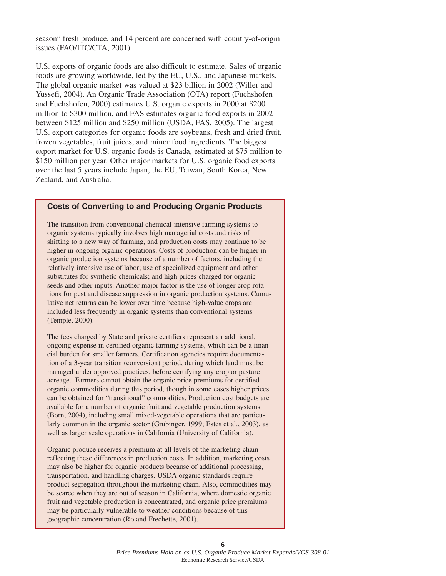season" fresh produce, and 14 percent are concerned with country-of-origin issues (FAO/ITC/CTA, 2001).

U.S. exports of organic foods are also difficult to estimate. Sales of organic foods are growing worldwide, led by the EU, U.S., and Japanese markets. The global organic market was valued at \$23 billion in 2002 (Willer and Yussefi, 2004). An Organic Trade Association (OTA) report (Fuchshofen and Fuchshofen, 2000) estimates U.S. organic exports in 2000 at \$200 million to \$300 million, and FAS estimates organic food exports in 2002 between \$125 million and \$250 million (USDA, FAS, 2005). The largest U.S. export categories for organic foods are soybeans, fresh and dried fruit, frozen vegetables, fruit juices, and minor food ingredients. The biggest export market for U.S. organic foods is Canada, estimated at \$75 million to \$150 million per year. Other major markets for U.S. organic food exports over the last 5 years include Japan, the EU, Taiwan, South Korea, New Zealand, and Australia.

#### **Costs of Converting to and Producing Organic Products**

The transition from conventional chemical-intensive farming systems to organic systems typically involves high managerial costs and risks of shifting to a new way of farming, and production costs may continue to be higher in ongoing organic operations. Costs of production can be higher in organic production systems because of a number of factors, including the relatively intensive use of labor; use of specialized equipment and other substitutes for synthetic chemicals; and high prices charged for organic seeds and other inputs. Another major factor is the use of longer crop rotations for pest and disease suppression in organic production systems. Cumulative net returns can be lower over time because high-value crops are included less frequently in organic systems than conventional systems (Temple, 2000).

The fees charged by State and private certifiers represent an additional, ongoing expense in certified organic farming systems, which can be a financial burden for smaller farmers. Certification agencies require documentation of a 3-year transition (conversion) period, during which land must be managed under approved practices, before certifying any crop or pasture acreage. Farmers cannot obtain the organic price premiums for certified organic commodities during this period, though in some cases higher prices can be obtained for "transitional" commodities. Production cost budgets are available for a number of organic fruit and vegetable production systems (Born, 2004), including small mixed-vegetable operations that are particularly common in the organic sector (Grubinger, 1999; Estes et al., 2003), as well as larger scale operations in California (University of California).

Organic produce receives a premium at all levels of the marketing chain reflecting these differences in production costs. In addition, marketing costs may also be higher for organic products because of additional processing, transportation, and handling charges. USDA organic standards require product segregation throughout the marketing chain. Also, commodities may be scarce when they are out of season in California, where domestic organic fruit and vegetable production is concentrated, and organic price premiums may be particularly vulnerable to weather conditions because of this geographic concentration (Ro and Frechette, 2001).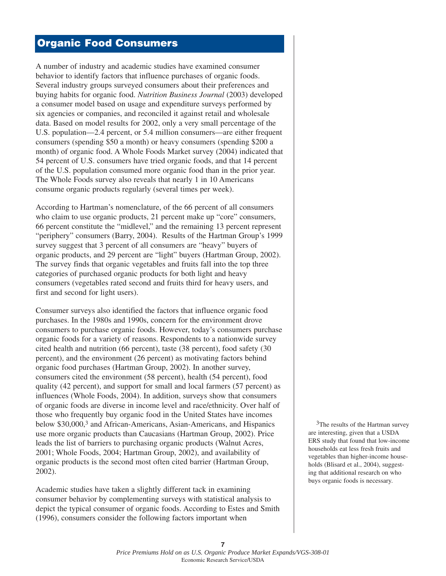### **Organic Food Consumers**

A number of industry and academic studies have examined consumer behavior to identify factors that influence purchases of organic foods. Several industry groups surveyed consumers about their preferences and buying habits for organic food. *Nutrition Business Journal* (2003) developed a consumer model based on usage and expenditure surveys performed by six agencies or companies, and reconciled it against retail and wholesale data. Based on model results for 2002, only a very small percentage of the U.S. population—2.4 percent, or 5.4 million consumers—are either frequent consumers (spending \$50 a month) or heavy consumers (spending \$200 a month) of organic food. A Whole Foods Market survey (2004) indicated that 54 percent of U.S. consumers have tried organic foods, and that 14 percent of the U.S. population consumed more organic food than in the prior year. The Whole Foods survey also reveals that nearly 1 in 10 Americans consume organic products regularly (several times per week).

According to Hartman's nomenclature, of the 66 percent of all consumers who claim to use organic products, 21 percent make up "core" consumers, 66 percent constitute the "midlevel," and the remaining 13 percent represent "periphery" consumers (Barry, 2004). Results of the Hartman Group's 1999 survey suggest that 3 percent of all consumers are "heavy" buyers of organic products, and 29 percent are "light" buyers (Hartman Group, 2002). The survey finds that organic vegetables and fruits fall into the top three categories of purchased organic products for both light and heavy consumers (vegetables rated second and fruits third for heavy users, and first and second for light users).

Consumer surveys also identified the factors that influence organic food purchases. In the 1980s and 1990s, concern for the environment drove consumers to purchase organic foods. However, today's consumers purchase organic foods for a variety of reasons. Respondents to a nationwide survey cited health and nutrition (66 percent), taste (38 percent), food safety (30 percent), and the environment (26 percent) as motivating factors behind organic food purchases (Hartman Group, 2002). In another survey, consumers cited the environment (58 percent), health (54 percent), food quality (42 percent), and support for small and local farmers (57 percent) as influences (Whole Foods, 2004). In addition, surveys show that consumers of organic foods are diverse in income level and race/ethnicity. Over half of those who frequently buy organic food in the United States have incomes below \$30,000,<sup>3</sup> and African-Americans, Asian-Americans, and Hispanics use more organic products than Caucasians (Hartman Group, 2002). Price leads the list of barriers to purchasing organic products (Walnut Acres, 2001; Whole Foods, 2004; Hartman Group, 2002), and availability of organic products is the second most often cited barrier (Hartman Group, 2002).

Academic studies have taken a slightly different tack in examining consumer behavior by complementing surveys with statistical analysis to depict the typical consumer of organic foods. According to Estes and Smith (1996), consumers consider the following factors important when

3The results of the Hartman survey are interesting, given that a USDA ERS study that found that low-income households eat less fresh fruits and vegetables than higher-income households (Blisard et al., 2004), suggesting that additional research on who buys organic foods is necessary.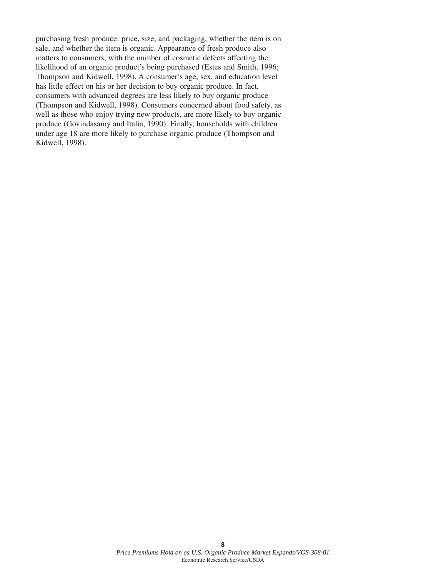purchasing fresh produce: price, size, and packaging, whether the item is on sale, and whether the item is organic. Appearance of fresh produce also matters to consumers, with the number of cosmetic defects affecting the likelihood of an organic product's being purchased (Estes and Smith, 1996; Thompson and Kidwell, 1998). A consumer's age, sex, and education level has little effect on his or her decision to buy organic produce. In fact, consumers with advanced degrees are less likely to buy organic produce (Thompson and Kidwell, 1998). Consumers concerned about food safety, as well as those who enjoy trying new products, are more likely to buy organic produce (Govindasamy and Italia, 1990). Finally, households with children under age 18 are more likely to purchase organic produce (Thompson and Kidwell, 1998).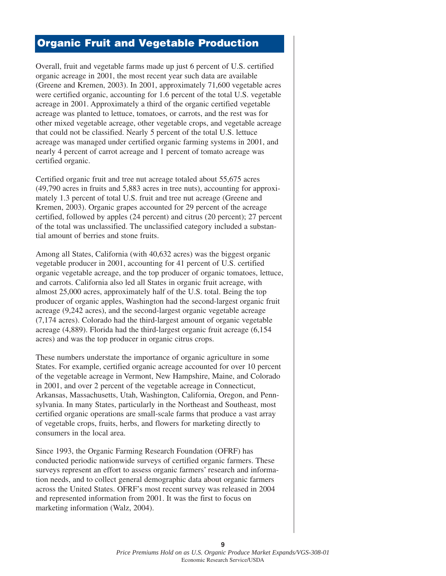### **Organic Fruit and Vegetable Production**

Overall, fruit and vegetable farms made up just 6 percent of U.S. certified organic acreage in 2001, the most recent year such data are available (Greene and Kremen, 2003). In 2001, approximately 71,600 vegetable acres were certified organic, accounting for 1.6 percent of the total U.S. vegetable acreage in 2001. Approximately a third of the organic certified vegetable acreage was planted to lettuce, tomatoes, or carrots, and the rest was for other mixed vegetable acreage, other vegetable crops, and vegetable acreage that could not be classified. Nearly 5 percent of the total U.S. lettuce acreage was managed under certified organic farming systems in 2001, and nearly 4 percent of carrot acreage and 1 percent of tomato acreage was certified organic.

Certified organic fruit and tree nut acreage totaled about 55,675 acres (49,790 acres in fruits and 5,883 acres in tree nuts), accounting for approximately 1.3 percent of total U.S. fruit and tree nut acreage (Greene and Kremen, 2003). Organic grapes accounted for 29 percent of the acreage certified, followed by apples (24 percent) and citrus (20 percent); 27 percent of the total was unclassified. The unclassified category included a substantial amount of berries and stone fruits.

Among all States, California (with 40,632 acres) was the biggest organic vegetable producer in 2001, accounting for 41 percent of U.S. certified organic vegetable acreage, and the top producer of organic tomatoes, lettuce, and carrots. California also led all States in organic fruit acreage, with almost 25,000 acres, approximately half of the U.S. total. Being the top producer of organic apples, Washington had the second-largest organic fruit acreage (9,242 acres), and the second-largest organic vegetable acreage (7,174 acres). Colorado had the third-largest amount of organic vegetable acreage (4,889). Florida had the third-largest organic fruit acreage (6,154 acres) and was the top producer in organic citrus crops.

These numbers understate the importance of organic agriculture in some States. For example, certified organic acreage accounted for over 10 percent of the vegetable acreage in Vermont, New Hampshire, Maine, and Colorado in 2001, and over 2 percent of the vegetable acreage in Connecticut, Arkansas, Massachusetts, Utah, Washington, California, Oregon, and Pennsylvania. In many States, particularly in the Northeast and Southeast, most certified organic operations are small-scale farms that produce a vast array of vegetable crops, fruits, herbs, and flowers for marketing directly to consumers in the local area.

Since 1993, the Organic Farming Research Foundation (OFRF) has conducted periodic nationwide surveys of certified organic farmers. These surveys represent an effort to assess organic farmers' research and information needs, and to collect general demographic data about organic farmers across the United States. OFRF's most recent survey was released in 2004 and represented information from 2001. It was the first to focus on marketing information (Walz, 2004).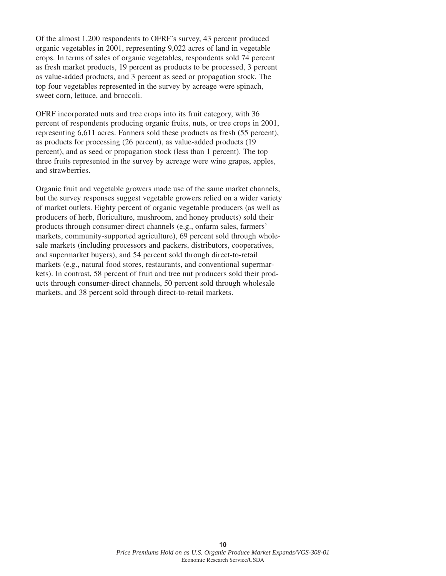Of the almost 1,200 respondents to OFRF's survey, 43 percent produced organic vegetables in 2001, representing 9,022 acres of land in vegetable crops. In terms of sales of organic vegetables, respondents sold 74 percent as fresh market products, 19 percent as products to be processed, 3 percent as value-added products, and 3 percent as seed or propagation stock. The top four vegetables represented in the survey by acreage were spinach, sweet corn, lettuce, and broccoli.

OFRF incorporated nuts and tree crops into its fruit category, with 36 percent of respondents producing organic fruits, nuts, or tree crops in 2001, representing 6,611 acres. Farmers sold these products as fresh (55 percent), as products for processing (26 percent), as value-added products (19 percent), and as seed or propagation stock (less than 1 percent). The top three fruits represented in the survey by acreage were wine grapes, apples, and strawberries.

Organic fruit and vegetable growers made use of the same market channels, but the survey responses suggest vegetable growers relied on a wider variety of market outlets. Eighty percent of organic vegetable producers (as well as producers of herb, floriculture, mushroom, and honey products) sold their products through consumer-direct channels (e.g., onfarm sales, farmers' markets, community-supported agriculture), 69 percent sold through wholesale markets (including processors and packers, distributors, cooperatives, and supermarket buyers), and 54 percent sold through direct-to-retail markets (e.g., natural food stores, restaurants, and conventional supermarkets). In contrast, 58 percent of fruit and tree nut producers sold their products through consumer-direct channels, 50 percent sold through wholesale markets, and 38 percent sold through direct-to-retail markets.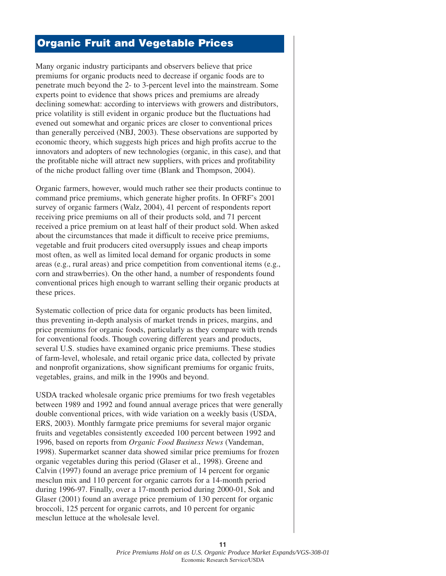### **Organic Fruit and Vegetable Prices**

Many organic industry participants and observers believe that price premiums for organic products need to decrease if organic foods are to penetrate much beyond the 2- to 3-percent level into the mainstream. Some experts point to evidence that shows prices and premiums are already declining somewhat: according to interviews with growers and distributors, price volatility is still evident in organic produce but the fluctuations had evened out somewhat and organic prices are closer to conventional prices than generally perceived (NBJ, 2003). These observations are supported by economic theory, which suggests high prices and high profits accrue to the innovators and adopters of new technologies (organic, in this case), and that the profitable niche will attract new suppliers, with prices and profitability of the niche product falling over time (Blank and Thompson, 2004).

Organic farmers, however, would much rather see their products continue to command price premiums, which generate higher profits. In OFRF's 2001 survey of organic farmers (Walz, 2004), 41 percent of respondents report receiving price premiums on all of their products sold, and 71 percent received a price premium on at least half of their product sold. When asked about the circumstances that made it difficult to receive price premiums, vegetable and fruit producers cited oversupply issues and cheap imports most often, as well as limited local demand for organic products in some areas (e.g., rural areas) and price competition from conventional items (e.g., corn and strawberries). On the other hand, a number of respondents found conventional prices high enough to warrant selling their organic products at these prices.

Systematic collection of price data for organic products has been limited, thus preventing in-depth analysis of market trends in prices, margins, and price premiums for organic foods, particularly as they compare with trends for conventional foods. Though covering different years and products, several U.S. studies have examined organic price premiums. These studies of farm-level, wholesale, and retail organic price data, collected by private and nonprofit organizations, show significant premiums for organic fruits, vegetables, grains, and milk in the 1990s and beyond.

USDA tracked wholesale organic price premiums for two fresh vegetables between 1989 and 1992 and found annual average prices that were generally double conventional prices, with wide variation on a weekly basis (USDA, ERS, 2003). Monthly farmgate price premiums for several major organic fruits and vegetables consistently exceeded 100 percent between 1992 and 1996, based on reports from *Organic Food Business News* (Vandeman, 1998). Supermarket scanner data showed similar price premiums for frozen organic vegetables during this period (Glaser et al., 1998). Greene and Calvin (1997) found an average price premium of 14 percent for organic mesclun mix and 110 percent for organic carrots for a 14-month period during 1996-97. Finally, over a 17-month period during 2000-01, Sok and Glaser (2001) found an average price premium of 130 percent for organic broccoli, 125 percent for organic carrots, and 10 percent for organic mesclun lettuce at the wholesale level.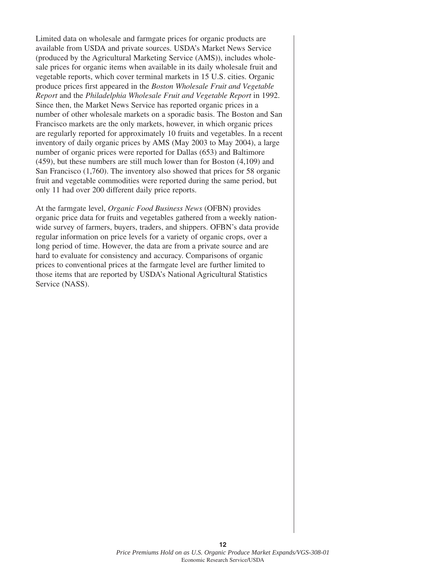Limited data on wholesale and farmgate prices for organic products are available from USDA and private sources. USDA's Market News Service (produced by the Agricultural Marketing Service (AMS)), includes wholesale prices for organic items when available in its daily wholesale fruit and vegetable reports, which cover terminal markets in 15 U.S. cities. Organic produce prices first appeared in the *Boston Wholesale Fruit and Vegetable Report* and the *Philadelphia Wholesale Fruit and Vegetable Report* in 1992. Since then, the Market News Service has reported organic prices in a number of other wholesale markets on a sporadic basis. The Boston and San Francisco markets are the only markets, however, in which organic prices are regularly reported for approximately 10 fruits and vegetables. In a recent inventory of daily organic prices by AMS (May 2003 to May 2004), a large number of organic prices were reported for Dallas (653) and Baltimore (459), but these numbers are still much lower than for Boston (4,109) and San Francisco (1,760). The inventory also showed that prices for 58 organic fruit and vegetable commodities were reported during the same period, but only 11 had over 200 different daily price reports.

At the farmgate level, *Organic Food Business News* (OFBN) provides organic price data for fruits and vegetables gathered from a weekly nationwide survey of farmers, buyers, traders, and shippers. OFBN's data provide regular information on price levels for a variety of organic crops, over a long period of time. However, the data are from a private source and are hard to evaluate for consistency and accuracy. Comparisons of organic prices to conventional prices at the farmgate level are further limited to those items that are reported by USDA's National Agricultural Statistics Service (NASS).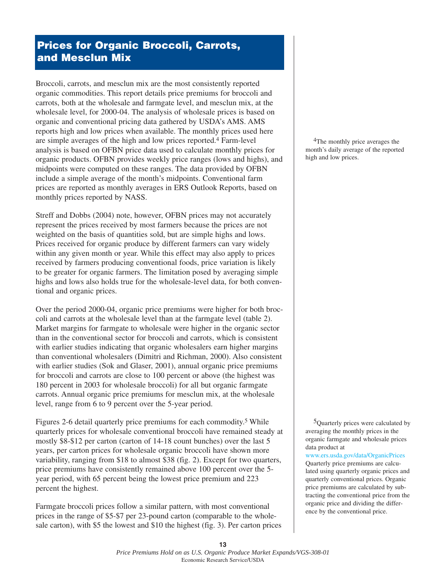# **Prices for Organic Broccoli, Carrots, and Mesclun Mix**

Broccoli, carrots, and mesclun mix are the most consistently reported organic commodities. This report details price premiums for broccoli and carrots, both at the wholesale and farmgate level, and mesclun mix, at the wholesale level, for 2000-04. The analysis of wholesale prices is based on organic and conventional pricing data gathered by USDA's AMS. AMS reports high and low prices when available. The monthly prices used here are simple averages of the high and low prices reported.4 Farm-level analysis is based on OFBN price data used to calculate monthly prices for organic products. OFBN provides weekly price ranges (lows and highs), and midpoints were computed on these ranges. The data provided by OFBN include a simple average of the month's midpoints. Conventional farm prices are reported as monthly averages in ERS Outlook Reports, based on monthly prices reported by NASS.

Streff and Dobbs (2004) note, however, OFBN prices may not accurately represent the prices received by most farmers because the prices are not weighted on the basis of quantities sold, but are simple highs and lows. Prices received for organic produce by different farmers can vary widely within any given month or year. While this effect may also apply to prices received by farmers producing conventional foods, price variation is likely to be greater for organic farmers. The limitation posed by averaging simple highs and lows also holds true for the wholesale-level data, for both conventional and organic prices.

Over the period 2000-04, organic price premiums were higher for both broccoli and carrots at the wholesale level than at the farmgate level (table 2). Market margins for farmgate to wholesale were higher in the organic sector than in the conventional sector for broccoli and carrots, which is consistent with earlier studies indicating that organic wholesalers earn higher margins than conventional wholesalers (Dimitri and Richman, 2000). Also consistent with earlier studies (Sok and Glaser, 2001), annual organic price premiums for broccoli and carrots are close to 100 percent or above (the highest was 180 percent in 2003 for wholesale broccoli) for all but organic farmgate carrots. Annual organic price premiums for mesclun mix, at the wholesale level, range from 6 to 9 percent over the 5-year period.

Figures 2-6 detail quarterly price premiums for each commodity.<sup>5</sup> While quarterly prices for wholesale conventional broccoli have remained steady at mostly \$8-\$12 per carton (carton of 14-18 count bunches) over the last 5 years, per carton prices for wholesale organic broccoli have shown more variability, ranging from \$18 to almost \$38 (fig. 2). Except for two quarters, price premiums have consistently remained above 100 percent over the 5 year period, with 65 percent being the lowest price premium and 223 percent the highest.

Farmgate broccoli prices follow a similar pattern, with most conventional prices in the range of \$5-\$7 per 23-pound carton (comparable to the wholesale carton), with \$5 the lowest and \$10 the highest (fig. 3). Per carton prices

<sup>4</sup>The monthly price averages the month's daily average of the reported high and low prices.

<sup>5</sup>Quarterly prices were calculated by averaging the monthly prices in the organic farmgate and wholesale prices data product at

[www.ers.usda.gov/data/OrganicPrices](http://www.ers.usda.gov/data/OrganicPrices/) Quarterly price premiums are calculated using quarterly organic prices and quarterly conventional prices. Organic price premiums are calculated by subtracting the conventional price from the organic price and dividing the difference by the conventional price.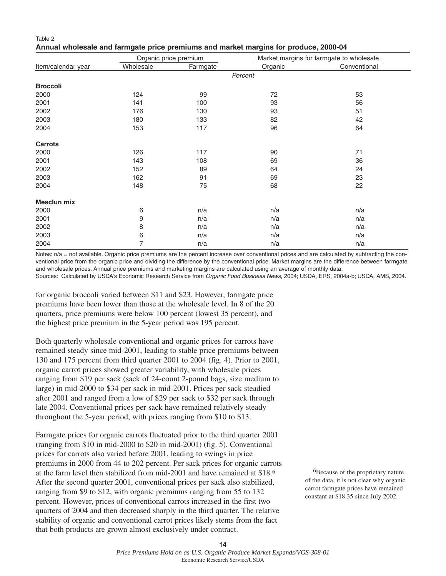| Table 2 |                                                                                      |  |
|---------|--------------------------------------------------------------------------------------|--|
|         | Annual wholesale and farmgate price premiums and market margins for produce, 2000-04 |  |

|                    | Organic price premium |          | Market margins for farmgate to wholesale |              |
|--------------------|-----------------------|----------|------------------------------------------|--------------|
| Item/calendar year | Wholesale             | Farmgate | Organic                                  | Conventional |
|                    |                       |          | Percent                                  |              |
| <b>Broccoli</b>    |                       |          |                                          |              |
| 2000               | 124                   | 99       | 72                                       | 53           |
| 2001               | 141                   | 100      | 93                                       | 56           |
| 2002               | 176                   | 130      | 93                                       | 51           |
| 2003               | 180                   | 133      | 82                                       | 42           |
| 2004               | 153                   | 117      | 96                                       | 64           |
| <b>Carrots</b>     |                       |          |                                          |              |
| 2000               | 126                   | 117      | 90                                       | 71           |
| 2001               | 143                   | 108      | 69                                       | 36           |
| 2002               | 152                   | 89       | 64                                       | 24           |
| 2003               | 162                   | 91       | 69                                       | 23           |
| 2004               | 148                   | 75       | 68                                       | 22           |
| <b>Mesclun mix</b> |                       |          |                                          |              |
| 2000               | 6                     | n/a      | n/a                                      | n/a          |
| 2001               | 9                     | n/a      | n/a                                      | n/a          |
| 2002               | 8                     | n/a      | n/a                                      | n/a          |
| 2003               | 6                     | n/a      | n/a                                      | n/a          |
| 2004               | 7                     | n/a      | n/a                                      | n/a          |

Notes:  $n/a$  = not available. Organic price premiums are the percent increase over conventional prices and are calculated by subtracting the conventional price from the organic price and dividing the difference by the conventional price. Market margins are the difference between farmgate and wholesale prices. Annual price premiums and marketing margins are calculated using an average of monthly data.

Sources: Calculated by USDA's Economic Research Service from Organic Food Business News, 2004; USDA, ERS, 2004a-b; USDA, AMS, 2004.

for organic broccoli varied between \$11 and \$23. However, farmgate price premiums have been lower than those at the wholesale level. In 8 of the 20 quarters, price premiums were below 100 percent (lowest 35 percent), and the highest price premium in the 5-year period was 195 percent.

Both quarterly wholesale conventional and organic prices for carrots have remained steady since mid-2001, leading to stable price premiums between 130 and 175 percent from third quarter 2001 to 2004 (fig. 4). Prior to 2001, organic carrot prices showed greater variability, with wholesale prices ranging from \$19 per sack (sack of 24-count 2-pound bags, size medium to large) in mid-2000 to \$34 per sack in mid-2001. Prices per sack steadied after 2001 and ranged from a low of \$29 per sack to \$32 per sack through late 2004. Conventional prices per sack have remained relatively steady throughout the 5-year period, with prices ranging from \$10 to \$13.

Farmgate prices for organic carrots fluctuated prior to the third quarter 2001 (ranging from \$10 in mid-2000 to \$20 in mid-2001) (fig. 5). Conventional prices for carrots also varied before 2001, leading to swings in price premiums in 2000 from 44 to 202 percent. Per sack prices for organic carrots at the farm level then stabilized from mid-2001 and have remained at \$18.6 After the second quarter 2001, conventional prices per sack also stabilized, ranging from \$9 to \$12, with organic premiums ranging from 55 to 132 percent. However, prices of conventional carrots increased in the first two quarters of 2004 and then decreased sharply in the third quarter. The relative stability of organic and conventional carrot prices likely stems from the fact that both products are grown almost exclusively under contract.

<sup>6</sup>Because of the proprietary nature of the data, it is not clear why organic carrot farmgate prices have remained constant at \$18.35 since July 2002.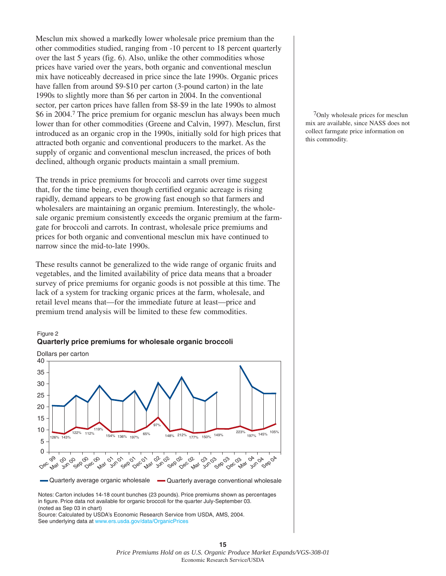Mesclun mix showed a markedly lower wholesale price premium than the other commodities studied, ranging from -10 percent to 18 percent quarterly over the last 5 years (fig. 6). Also, unlike the other commodities whose prices have varied over the years, both organic and conventional mesclun mix have noticeably decreased in price since the late 1990s. Organic prices have fallen from around \$9-\$10 per carton (3-pound carton) in the late 1990s to slightly more than \$6 per carton in 2004. In the conventional sector, per carton prices have fallen from \$8-\$9 in the late 1990s to almost \$6 in 2004.7 The price premium for organic mesclun has always been much lower than for other commodities (Greene and Calvin, 1997). Mesclun, first introduced as an organic crop in the 1990s, initially sold for high prices that attracted both organic and conventional producers to the market. As the supply of organic and conventional mesclun increased, the prices of both declined, although organic products maintain a small premium.

The trends in price premiums for broccoli and carrots over time suggest that, for the time being, even though certified organic acreage is rising rapidly, demand appears to be growing fast enough so that farmers and wholesalers are maintaining an organic premium. Interestingly, the wholesale organic premium consistently exceeds the organic premium at the farmgate for broccoli and carrots. In contrast, wholesale price premiums and prices for both organic and conventional mesclun mix have continued to narrow since the mid-to-late 1990s.

These results cannot be generalized to the wide range of organic fruits and vegetables, and the limited availability of price data means that a broader survey of price premiums for organic goods is not possible at this time. The lack of a system for tracking organic prices at the farm, wholesale, and retail level means that—for the immediate future at least—price and premium trend analysis will be limited to these few commodities.





in figure. Price data not available for organic broccoli for the quarter July-September 03. (noted as Sep 03 in chart)

Source: Calculated by USDA's Economic Research Service from USDA, AMS, 2004. See underlying data at [www.ers.usda.gov/data/OrganicPrices](http://www.ers.usda.gov/data/OrganicPrices)

7Only wholesale prices for mesclun mix are available, since NASS does not collect farmgate price information on this commodity.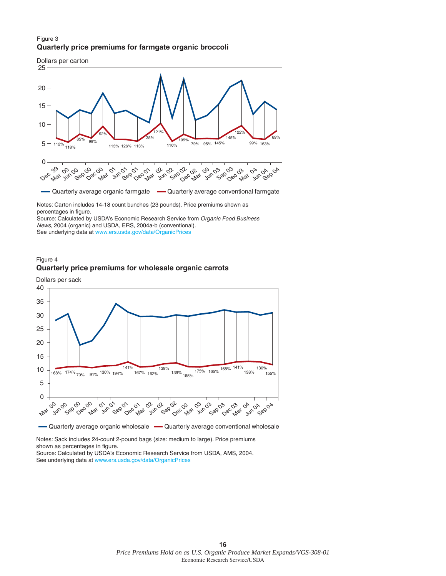#### Figure 3 **Quarterly price premiums for farmgate organic broccoli**





Notes: Carton includes 14-18 count bunches (23 pounds). Price premiums shown as percentages in figure.

Source: Calculated by USDA's Economic Research Service from *Organic Food Business News*, 2004 (organic) and USDA, ERS, 2004a-b (conventional). See underlying data at [www.ers.usda.gov/data/OrganicPrices](http://www.ers.usda.gov/data/OrganicPrices/)

#### Figure 4 **Quarterly price premiums for wholesale organic carrots**



Notes: Sack includes 24-count 2-pound bags (size: medium to large). Price premiums shown as percentages in figure.

Source: Calculated by USDA's Economic Research Service from USDA, AMS, 2004. See underlying data at [www.ers.usda.gov/data/OrganicPrices](http://www.ers.usda.gov/data/OrganicPrices/)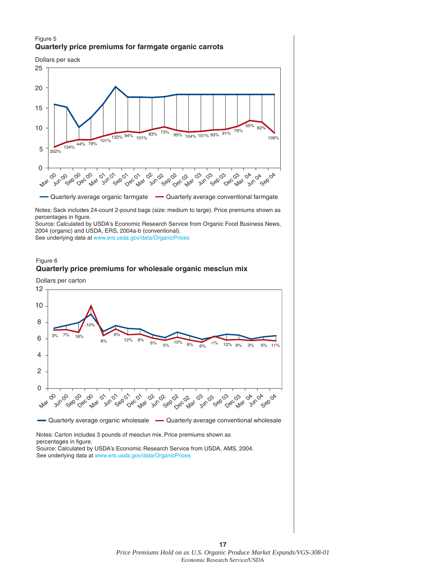#### Figure 5 **Quarterly price premiums for farmgate organic carrots**





Notes: Sack includes 24-count 2-pound bags (size: medium to large). Price premiums shown as percentages in figure.

Source: Calculated by USDA's Economic Research Service from Organic Food Business News, 2004 (organic) and USDA, ERS, 2004a-b (conventional).

See underlying data at [www.ers.usda.gov/data/OrganicPrices](http://www.ers.usda.gov/data/OrganicPrices/)

#### Figure 6

#### **Quarterly price premiums for wholesale organic mesclun mix**



Source: Calculated by USDA's Economic Research Service from USDA, AMS, 2004. See underlying data at [www.ers.usda.gov/data/OrganicPrices](http://www.ers.usda.gov/data/OrganicPrices/)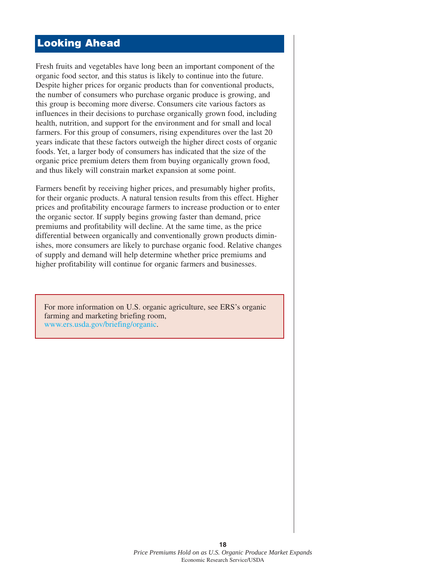# **Looking Ahead**

Fresh fruits and vegetables have long been an important component of the organic food sector, and this status is likely to continue into the future. Despite higher prices for organic products than for conventional products, the number of consumers who purchase organic produce is growing, and this group is becoming more diverse. Consumers cite various factors as influences in their decisions to purchase organically grown food, including health, nutrition, and support for the environment and for small and local farmers. For this group of consumers, rising expenditures over the last 20 years indicate that these factors outweigh the higher direct costs of organic foods. Yet, a larger body of consumers has indicated that the size of the organic price premium deters them from buying organically grown food, and thus likely will constrain market expansion at some point.

Farmers benefit by receiving higher prices, and presumably higher profits, for their organic products. A natural tension results from this effect. Higher prices and profitability encourage farmers to increase production or to enter the organic sector. If supply begins growing faster than demand, price premiums and profitability will decline. At the same time, as the price differential between organically and conventionally grown products diminishes, more consumers are likely to purchase organic food. Relative changes of supply and demand will help determine whether price premiums and higher profitability will continue for organic farmers and businesses.

For more information on U.S. organic agriculture, see ERS's organic farming and marketing briefing room, [www.ers.usda.gov/briefing/organic.](http://www.ers.usda.gov/briefing/organic/)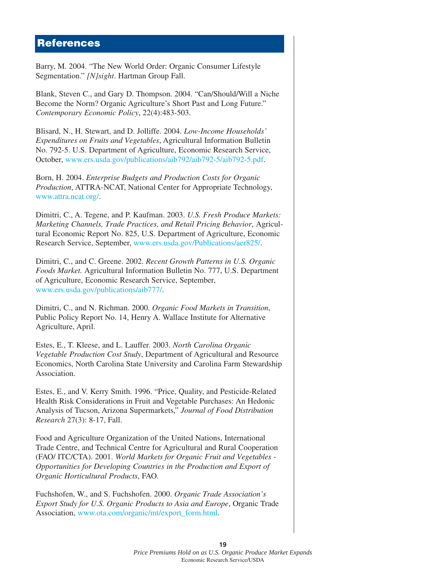#### **References**

Barry, M. 2004. "The New World Order: Organic Consumer Lifestyle Segmentation." *[N]sight*. Hartman Group Fall.

Blank, Steven C., and Gary D. Thompson. 2004. "Can/Should/Will a Niche Become the Norm? Organic Agriculture's Short Past and Long Future." *Contemporary Economic Policy*, 22(4):483-503.

Blisard, N., H. Stewart, and D. Jolliffe. 2004. *Low-Income Households' Expenditures on Fruits and Vegetables*, Agricultural Information Bulletin No. 792-5. U.S. Department of Agriculture, Economic Research Service, October, [www.ers.usda.gov/publications/aib792/aib792-5/aib792-5.pdf.](http://www.ers.usda.gov/publications/aib792/aib792-5/aib792-5.pdf)

Born, H. 2004. *Enterprise Budgets and Production Costs for Organic Production*, ATTRA-NCAT, National Center for Appropriate Technology, [www.attra.ncat.org/.](http://www.attra.ncat.org/)

Dimitri, C., A. Tegene, and P. Kaufman. 2003. *U.S. Fresh Produce Markets: Marketing Channels, Trade Practices, and Retail Pricing Behavior*, Agricultural Economic Report No. 825, U.S. Department of Agriculture, Economic Research Service, September, [www.ers.usda.gov/Publications/aer825/.](http://www.ers.usda.gov/Publications/aer825/)

Dimitri, C., and C. Greene. 2002. *Recent Growth Patterns in U.S. Organic Foods Market.* Agricultural Information Bulletin No. 777, U.S. Department of Agriculture, Economic Research Service, September, [www.ers.usda.gov/publications/aib777/](http://www.ers.usda.gov/publications/aib777/).

Dimitri, C., and N. Richman. 2000. *Organic Food Markets in Transition*, Public Policy Report No. 14, Henry A. Wallace Institute for Alternative Agriculture, April.

Estes, E., T. Kleese, and L. Lauffer. 2003. *North Carolina Organic Vegetable Production Cost Study*, Department of Agricultural and Resource Economics, North Carolina State University and Carolina Farm Stewardship Association.

Estes, E., and V. Kerry Smith. 1996. "Price, Quality, and Pesticide-Related Health Risk Considerations in Fruit and Vegetable Purchases: An Hedonic Analysis of Tucson, Arizona Supermarkets," *Journal of Food Distribution Research* 27(3): 8-17, Fall.

Food and Agriculture Organization of the United Nations, International Trade Centre, and Technical Centre for Agricultural and Rural Cooperation (FAO/ ITC/CTA). 2001. *World Markets for Organic Fruit and Vegetables - Opportunities for Developing Countries in the Production and Export of Organic Horticultural Products*, FAO.

Fuchshofen, W., and S. Fuchshofen. 2000. *Organic Trade Association's Export Study for U.S. Organic Products to Asia and Europe*, Organic Trade Association, [www.ota.com/organic/mt/export\\_form.html.](http://www.ota.com/organic/mt/export_form.html)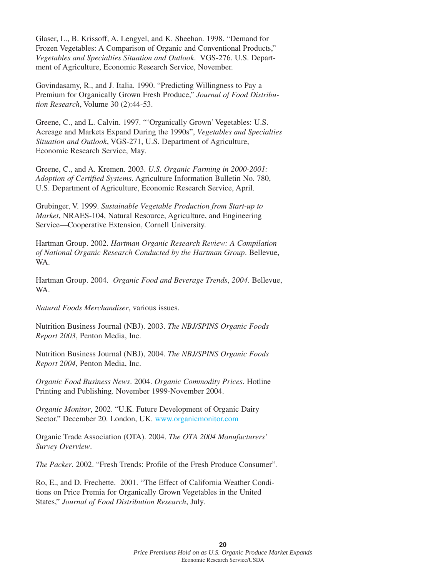Glaser, L., B. Krissoff, A. Lengyel, and K. Sheehan. 1998. "Demand for Frozen Vegetables: A Comparison of Organic and Conventional Products," *Vegetables and Specialties Situation and Outlook*. VGS-276. U.S. Department of Agriculture, Economic Research Service, November.

Govindasamy, R., and J. Italia. 1990. "Predicting Willingness to Pay a Premium for Organically Grown Fresh Produce," *Journal of Food Distribution Research*, Volume 30 (2):44-53.

Greene, C., and L. Calvin. 1997. "'Organically Grown' Vegetables: U.S. Acreage and Markets Expand During the 1990s", *Vegetables and Specialties Situation and Outlook*, VGS-271, U.S. Department of Agriculture, Economic Research Service, May.

Greene, C., and A. Kremen. 2003. *U.S. Organic Farming in 2000-2001: Adoption of Certified Systems*. Agriculture Information Bulletin No. 780, U.S. Department of Agriculture, Economic Research Service, April.

Grubinger, V. 1999. *Sustainable Vegetable Production from Start-up to Market*, NRAES-104, Natural Resource, Agriculture, and Engineering Service—Cooperative Extension, Cornell University.

Hartman Group. 2002. *Hartman Organic Research Review: A Compilation of National Organic Research Conducted by the Hartman Group*. Bellevue, WA.

Hartman Group. 2004. *Organic Food and Beverage Trends*, *2004*. Bellevue, WA.

*Natural Foods Merchandiser*, various issues.

Nutrition Business Journal (NBJ). 2003. *The NBJ/SPINS Organic Foods Report 2003*, Penton Media, Inc.

Nutrition Business Journal (NBJ), 2004. *The NBJ/SPINS Organic Foods Report 2004*, Penton Media, Inc.

*Organic Food Business News*. 2004. *Organic Commodity Prices*. Hotline Printing and Publishing. November 1999-November 2004.

*Organic Monitor*, 2002. "U.K. Future Development of Organic Dairy Sector." December 20. London, UK. [www.organicmonitor.com](http://www.organicmonitor.com)

Organic Trade Association (OTA). 2004. *The OTA 2004 Manufacturers' Survey Overview*.

*The Packer*. 2002. "Fresh Trends: Profile of the Fresh Produce Consumer"*.*

Ro, E., and D. Frechette. 2001. "The Effect of California Weather Conditions on Price Premia for Organically Grown Vegetables in the United States," *Journal of Food Distribution Research*, July.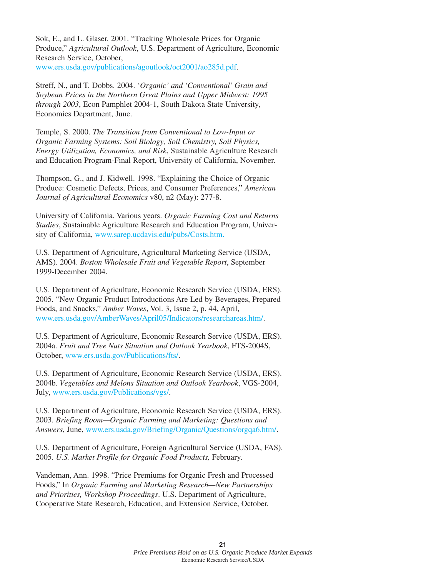Sok, E., and L. Glaser. 2001. "Tracking Wholesale Prices for Organic Produce," *Agricultural Outlook*, U.S. Department of Agriculture, Economic Research Service, October, [www.ers.usda.gov/publications/agoutlook/oct2001/ao285d.pdf.](http://www.ers.usda.gov/publications/agoutlook/oct2001/ao285d.pdf)

Streff, N., and T. Dobbs. 2004. '*Organic' and 'Conventional' Grain and Soybean Prices in the Northern Great Plains and Upper Midwest: 1995 through 2003*, Econ Pamphlet 2004-1, South Dakota State University, Economics Department, June.

Temple, S. 2000. *The Transition from Conventional to Low-Input or Organic Farming Systems: Soil Biology, Soil Chemistry, Soil Physics, Energy Utilization, Economics, and Risk*, Sustainable Agriculture Research and Education Program-Final Report, University of California, November.

Thompson, G., and J. Kidwell. 1998. "Explaining the Choice of Organic Produce: Cosmetic Defects, Prices, and Consumer Preferences," *American Journal of Agricultural Economics* v80, n2 (May): 277-8.

University of California. Various years. *Organic Farming Cost and Returns Studies*, Sustainable Agriculture Research and Education Program, University of California, [www.sarep.ucdavis.edu/pubs/Costs.htm](http://www.sarep.ucdavis.edu/pubs/Costs.htm).

U.S. Department of Agriculture, Agricultural Marketing Service (USDA, AMS). 2004. *Boston Wholesale Fruit and Vegetable Report*, September 1999-December 2004.

U.S. Department of Agriculture, Economic Research Service (USDA, ERS). 2005. "New Organic Product Introductions Are Led by Beverages, Prepared Foods, and Snacks," *Amber Waves*, Vol. 3, Issue 2, p. 44, April, [www.ers.usda.gov/AmberWaves/April05/Indicators/researchareas.htm/.](http://www.ers.usda.gov/AmberWaves/April05/Indicators/researchareas.htm/)

U.S. Department of Agriculture, Economic Research Service (USDA, ERS). 2004a. *Fruit and Tree Nuts Situation and Outlook Yearbook*, FTS-2004S, October, [www.ers.usda.gov/Publications/fts/.](http://www.ers.usda.gov/Publications/fts/)

U.S. Department of Agriculture, Economic Research Service (USDA, ERS). 2004b. *Vegetables and Melons Situation and Outlook Yearbook*, VGS-2004, July, [www.ers.usda.gov/Publications/vgs/.](http://www.ers.usda.gov/Publications/vgs/)

U.S. Department of Agriculture, Economic Research Service (USDA, ERS). 2003. *Briefing Room—Organic Farming and Marketing: Questions and Answers*, June, [www.ers.usda.gov/Briefing/Organic/Questions/orgqa6.htm/.](http://www.ers.usda.gov/Briefing/Organic/Questions/orgqa6.htm/)

U.S. Department of Agriculture, Foreign Agricultural Service (USDA, FAS). 2005. *U.S. Market Profile for Organic Food Products,* February.

Vandeman, Ann. 1998. "Price Premiums for Organic Fresh and Processed Foods," In *Organic Farming and Marketing Research—New Partnerships and Priorities, Workshop Proceedings*. U.S. Department of Agriculture, Cooperative State Research, Education, and Extension Service, October.